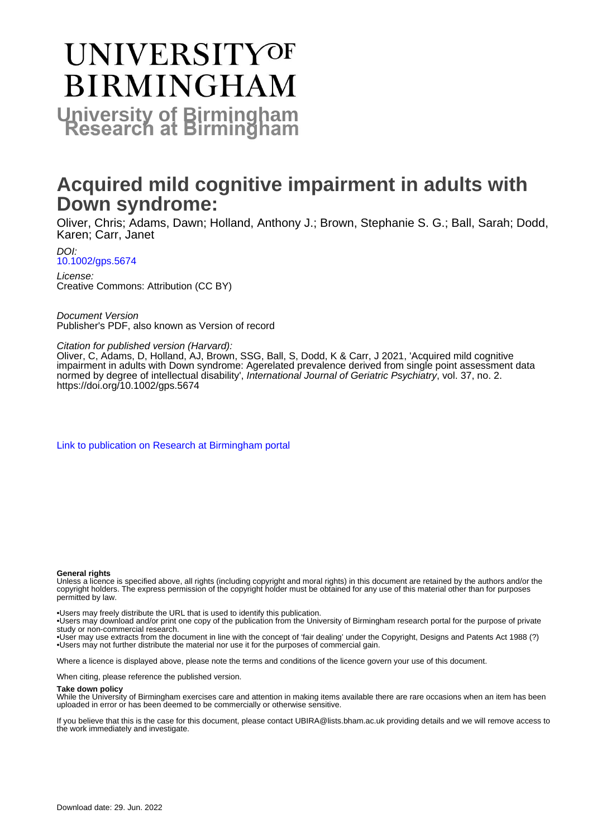# **UNIVERSITYOF BIRMINGHAM University of Birmingham**

# **Acquired mild cognitive impairment in adults with Down syndrome:**

Oliver, Chris; Adams, Dawn; Holland, Anthony J.; Brown, Stephanie S. G.; Ball, Sarah; Dodd, Karen; Carr, Janet

DOI: [10.1002/gps.5674](https://doi.org/10.1002/gps.5674)

License: Creative Commons: Attribution (CC BY)

Document Version Publisher's PDF, also known as Version of record

# Citation for published version (Harvard):

Oliver, C, Adams, D, Holland, AJ, Brown, SSG, Ball, S, Dodd, K & Carr, J 2021, 'Acquired mild cognitive impairment in adults with Down syndrome: Agerelated prevalence derived from single point assessment data normed by degree of intellectual disability', International Journal of Geriatric Psychiatry, vol. 37, no. 2. <https://doi.org/10.1002/gps.5674>

[Link to publication on Research at Birmingham portal](https://birmingham.elsevierpure.com/en/publications/777bf338-b206-4f2b-97fe-e717f7c743cc)

#### **General rights**

Unless a licence is specified above, all rights (including copyright and moral rights) in this document are retained by the authors and/or the copyright holders. The express permission of the copyright holder must be obtained for any use of this material other than for purposes permitted by law.

• Users may freely distribute the URL that is used to identify this publication.

• Users may download and/or print one copy of the publication from the University of Birmingham research portal for the purpose of private study or non-commercial research.

• User may use extracts from the document in line with the concept of 'fair dealing' under the Copyright, Designs and Patents Act 1988 (?) • Users may not further distribute the material nor use it for the purposes of commercial gain.

Where a licence is displayed above, please note the terms and conditions of the licence govern your use of this document.

When citing, please reference the published version.

#### **Take down policy**

While the University of Birmingham exercises care and attention in making items available there are rare occasions when an item has been uploaded in error or has been deemed to be commercially or otherwise sensitive.

If you believe that this is the case for this document, please contact UBIRA@lists.bham.ac.uk providing details and we will remove access to the work immediately and investigate.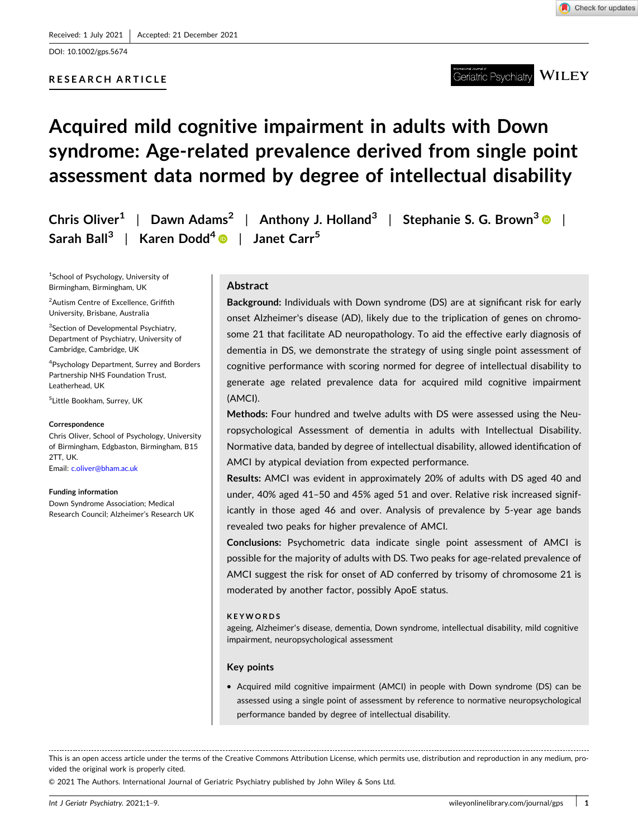DOI: [10.1002/gps.5674](https://doi.org/10.1002/gps.5674)

# **RESEARCH ARTICLE**



#### **WILEY** Geriatric Psychiatry

# **Acquired mild cognitive impairment in adults with Down syndrome: Age‐related prevalence derived from single point assessment data normed by degree of intellectual disability**

|                                                                             | Chris Oliver <sup>1</sup>   Dawn Adams <sup>2</sup>   Anthony J. Holland <sup>3</sup>   Stephanie S. G. Brown <sup>3</sup> $\bullet$ |
|-----------------------------------------------------------------------------|--------------------------------------------------------------------------------------------------------------------------------------|
| Sarah Ball <sup>3</sup>   Karen Dodd <sup>4</sup>   Janet Carr <sup>5</sup> |                                                                                                                                      |

1 School of Psychology, University of Birmingham, Birmingham, UK

<sup>2</sup>Autism Centre of Excellence, Griffith University, Brisbane, Australia

<sup>3</sup>Section of Developmental Psychiatry, Department of Psychiatry, University of Cambridge, Cambridge, UK

4 Psychology Department, Surrey and Borders Partnership NHS Foundation Trust, Leatherhead, UK

5 Little Bookham, Surrey, UK

#### **Correspondence**

Chris Oliver, School of Psychology, University of Birmingham, Edgbaston, Birmingham, B15 2TT, UK. Email: [c.oliver@bham.ac.uk](mailto:c.oliver@bham.ac.uk)

#### **Funding information**

Down Syndrome Association; Medical Research Council; Alzheimer's Research UK

# **Abstract**

**Background:** Individuals with Down syndrome (DS) are at significant risk for early onset Alzheimer's disease (AD), likely due to the triplication of genes on chromosome 21 that facilitate AD neuropathology. To aid the effective early diagnosis of dementia in DS, we demonstrate the strategy of using single point assessment of cognitive performance with scoring normed for degree of intellectual disability to generate age related prevalence data for acquired mild cognitive impairment (AMCI).

**Methods:** Four hundred and twelve adults with DS were assessed using the Neuropsychological Assessment of dementia in adults with Intellectual Disability. Normative data, banded by degree of intellectual disability, allowed identification of AMCI by atypical deviation from expected performance.

**Results:** AMCI was evident in approximately 20% of adults with DS aged 40 and under, 40% aged 41–50 and 45% aged 51 and over. Relative risk increased significantly in those aged 46 and over. Analysis of prevalence by 5‐year age bands revealed two peaks for higher prevalence of AMCI.

**Conclusions:** Psychometric data indicate single point assessment of AMCI is possible for the majority of adults with DS. Two peaks for age-related prevalence of AMCI suggest the risk for onset of AD conferred by trisomy of chromosome 21 is moderated by another factor, possibly ApoE status.

#### **KEYWORDS**

ageing, Alzheimer's disease, dementia, Down syndrome, intellectual disability, mild cognitive impairment, neuropsychological assessment

#### **Key points**

� Acquired mild cognitive impairment (AMCI) in people with Down syndrome (DS) can be assessed using a single point of assessment by reference to normative neuropsychological performance banded by degree of intellectual disability.

This is an open access article under the terms of the Creative Commons Attribution License, which permits use, distribution and reproduction in any medium, provided the original work is properly cited.

© 2021 The Authors. International Journal of Geriatric Psychiatry published by John Wiley & Sons Ltd.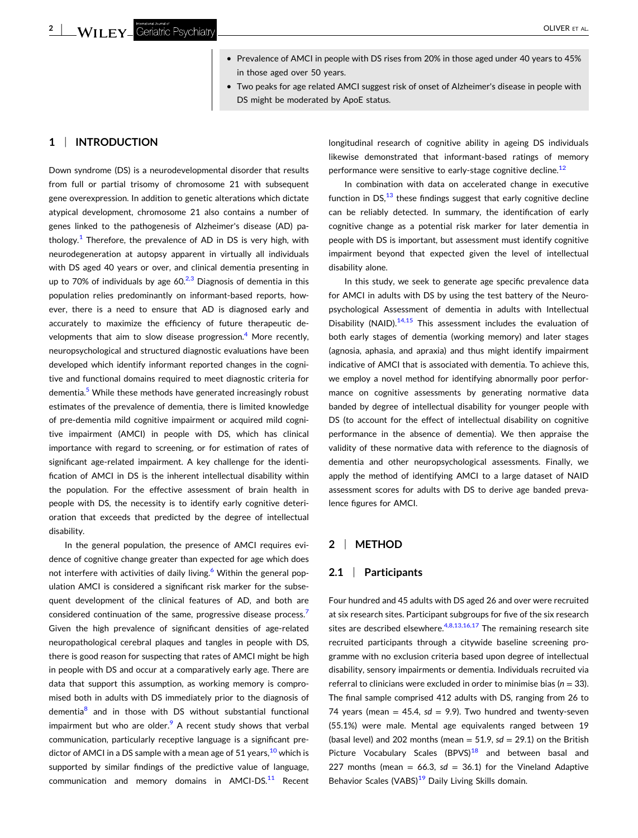- � Prevalence of AMCI in people with DS rises from 20% in those aged under 40 years to 45% in those aged over 50 years.
- � Two peaks for age related AMCI suggest risk of onset of Alzheimer's disease in people with DS might be moderated by ApoE status.

### **1** <sup>|</sup> **INTRODUCTION**

Down syndrome (DS) is a neurodevelopmental disorder that results from full or partial trisomy of chromosome 21 with subsequent gene overexpression. In addition to genetic alterations which dictate atypical development, chromosome 21 also contains a number of genes linked to the pathogenesis of Alzheimer's disease (AD) pa-thology.<sup>[1](#page-8-0)</sup> Therefore, the prevalence of AD in DS is very high, with neurodegeneration at autopsy apparent in virtually all individuals with DS aged 40 years or over, and clinical dementia presenting in up to 70% of individuals by age  $60<sup>2,3</sup>$  Diagnosis of dementia in this population relies predominantly on informant‐based reports, however, there is a need to ensure that AD is diagnosed early and accurately to maximize the efficiency of future therapeutic de-velopments that aim to slow disease progression.<sup>[4](#page-8-0)</sup> More recently, neuropsychological and structured diagnostic evaluations have been developed which identify informant reported changes in the cognitive and functional domains required to meet diagnostic criteria for dementia.<sup>5</sup> While these methods have generated increasingly robust estimates of the prevalence of dementia, there is limited knowledge of pre‐dementia mild cognitive impairment or acquired mild cognitive impairment (AMCI) in people with DS, which has clinical importance with regard to screening, or for estimation of rates of significant age-related impairment. A key challenge for the identification of AMCI in DS is the inherent intellectual disability within the population. For the effective assessment of brain health in people with DS, the necessity is to identify early cognitive deterioration that exceeds that predicted by the degree of intellectual disability.

In the general population, the presence of AMCI requires evidence of cognitive change greater than expected for age which does not interfere with activities of daily living.<sup>[6](#page-8-0)</sup> Within the general population AMCI is considered a significant risk marker for the subsequent development of the clinical features of AD, and both are considered continuation of the same, progressive disease process.<sup>[7](#page-8-0)</sup> Given the high prevalence of significant densities of age-related neuropathological cerebral plaques and tangles in people with DS, there is good reason for suspecting that rates of AMCI might be high in people with DS and occur at a comparatively early age. There are data that support this assumption, as working memory is compromised both in adults with DS immediately prior to the diagnosis of dementia<sup>8</sup> and in those with DS without substantial functional impairment but who are older. $9$  A recent study shows that verbal communication, particularly receptive language is a significant predictor of AMCI in a DS sample with a mean age of 51 years,  $^{10}$  $^{10}$  $^{10}$  which is supported by similar findings of the predictive value of language, communication and memory domains in AMCI-DS.<sup>[11](#page-8-0)</sup> Recent

longitudinal research of cognitive ability in ageing DS individuals likewise demonstrated that informant‐based ratings of memory performance were sensitive to early-stage cognitive decline.<sup>[12](#page-8-0)</sup>

In combination with data on accelerated change in executive function in DS, $^{13}$  these findings suggest that early cognitive decline can be reliably detected. In summary, the identification of early cognitive change as a potential risk marker for later dementia in people with DS is important, but assessment must identify cognitive impairment beyond that expected given the level of intellectual disability alone.

In this study, we seek to generate age specific prevalence data for AMCI in adults with DS by using the test battery of the Neuropsychological Assessment of dementia in adults with Intellectual Disability (NAID). $14,15$  This assessment includes the evaluation of both early stages of dementia (working memory) and later stages (agnosia, aphasia, and apraxia) and thus might identify impairment indicative of AMCI that is associated with dementia. To achieve this, we employ a novel method for identifying abnormally poor performance on cognitive assessments by generating normative data banded by degree of intellectual disability for younger people with DS (to account for the effect of intellectual disability on cognitive performance in the absence of dementia). We then appraise the validity of these normative data with reference to the diagnosis of dementia and other neuropsychological assessments. Finally, we apply the method of identifying AMCI to a large dataset of NAID assessment scores for adults with DS to derive age banded prevalence figures for AMCI.

#### **2** <sup>|</sup> **METHOD**

#### **2.1** <sup>|</sup> **Participants**

Four hundred and 45 adults with DS aged 26 and over were recruited at six research sites. Participant subgroups for five of the six research sites are described elsewhere. $4,8,13,16,17$  The remaining research site recruited participants through a citywide baseline screening programme with no exclusion criteria based upon degree of intellectual disability, sensory impairments or dementia. Individuals recruited via referral to clinicians were excluded in order to minimise bias (*n* = 33). The final sample comprised 412 adults with DS, ranging from 26 to 74 years (mean  $=$  45.4, *sd*  $=$  9.9). Two hundred and twenty-seven (55.1%) were male. Mental age equivalents ranged between 19 (basal level) and 202 months (mean  $= 51.9$ ,  $sd = 29.1$ ) on the British Picture Vocabulary Scales (BPVS)<sup>[18](#page-8-0)</sup> and between basal and 227 months (mean =  $66.3$ ,  $sd = 36.1$ ) for the Vineland Adaptive Behavior Scales (VABS)<sup>19</sup> Daily Living Skills domain.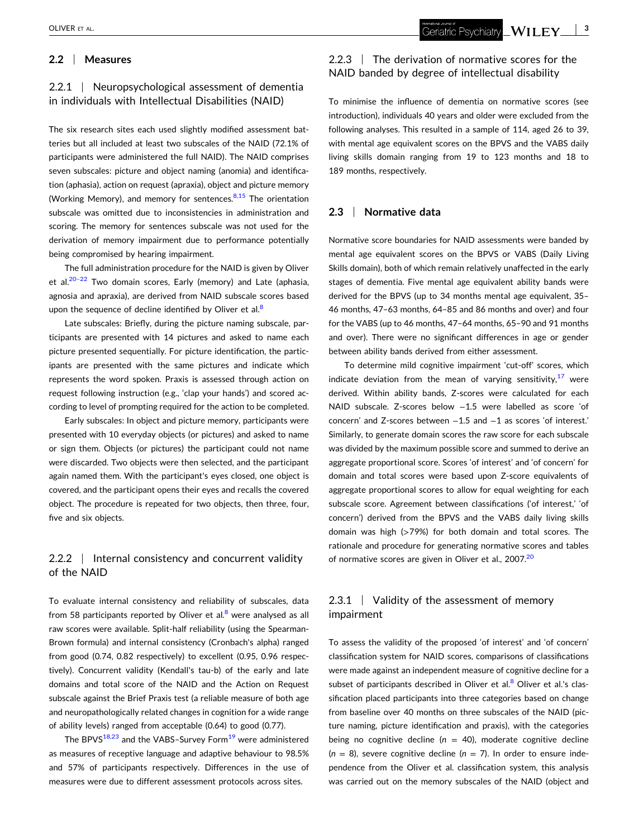# **2.2** <sup>|</sup> **Measures**

# 2.2.1 | Neuropsychological assessment of dementia in individuals with Intellectual Disabilities (NAID)

The six research sites each used slightly modified assessment batteries but all included at least two subscales of the NAID (72.1% of participants were administered the full NAID). The NAID comprises seven subscales: picture and object naming (anomia) and identification (aphasia), action on request (apraxia), object and picture memory (Working Memory), and memory for sentences. $8,15$  The orientation subscale was omitted due to inconsistencies in administration and scoring. The memory for sentences subscale was not used for the derivation of memory impairment due to performance potentially being compromised by hearing impairment.

The full administration procedure for the NAID is given by Oliver et al. $20-22$  Two domain scores, Early (memory) and Late (aphasia, agnosia and apraxia), are derived from NAID subscale scores based upon the sequence of decline identified by Oliver et al. $8$ 

Late subscales: Briefly, during the picture naming subscale, participants are presented with 14 pictures and asked to name each picture presented sequentially. For picture identification, the participants are presented with the same pictures and indicate which represents the word spoken. Praxis is assessed through action on request following instruction (e.g., 'clap your hands') and scored according to level of prompting required for the action to be completed.

Early subscales: In object and picture memory, participants were presented with 10 everyday objects (or pictures) and asked to name or sign them. Objects (or pictures) the participant could not name were discarded. Two objects were then selected, and the participant again named them. With the participant's eyes closed, one object is covered, and the participant opens their eyes and recalls the covered object. The procedure is repeated for two objects, then three, four, five and six objects.

# 2.2.2 | Internal consistency and concurrent validity of the NAID

To evaluate internal consistency and reliability of subscales, data from 5[8](#page-8-0) participants reported by Oliver et al. $<sup>8</sup>$  were analysed as all</sup> raw scores were available. Split‐half reliability (using the Spearman‐ Brown formula) and internal consistency (Cronbach's alpha) ranged from good (0.74, 0.82 respectively) to excellent (0.95, 0.96 respectively). Concurrent validity (Kendall's tau‐b) of the early and late domains and total score of the NAID and the Action on Request subscale against the Brief Praxis test (a reliable measure of both age and neuropathologically related changes in cognition for a wide range of ability levels) ranged from acceptable (0.64) to good (0.77).

The BPVS<sup>[18,23](#page-8-0)</sup> and the VABS-Survey Form<sup>[19](#page-8-0)</sup> were administered as measures of receptive language and adaptive behaviour to 98.5% and 57% of participants respectively. Differences in the use of measures were due to different assessment protocols across sites.

# 2.2.3 | The derivation of normative scores for the NAID banded by degree of intellectual disability

To minimise the influence of dementia on normative scores (see introduction), individuals 40 years and older were excluded from the following analyses. This resulted in a sample of 114, aged 26 to 39, with mental age equivalent scores on the BPVS and the VABS daily living skills domain ranging from 19 to 123 months and 18 to 189 months, respectively.

## **2.3** <sup>|</sup> **Normative data**

Normative score boundaries for NAID assessments were banded by mental age equivalent scores on the BPVS or VABS (Daily Living Skills domain), both of which remain relatively unaffected in the early stages of dementia. Five mental age equivalent ability bands were derived for the BPVS (up to 34 months mental age equivalent, 35– 46 months, 47–63 months, 64–85 and 86 months and over) and four for the VABS (up to 46 months, 47–64 months, 65–90 and 91 months and over). There were no significant differences in age or gender between ability bands derived from either assessment.

To determine mild cognitive impairment 'cut‐off' scores, which indicate deviation from the mean of varying sensitivity, $17$  were derived. Within ability bands, Z‐scores were calculated for each NAID subscale. Z‐scores below −1.5 were labelled as score 'of concern' and Z‐scores between −1.5 and −1 as scores 'of interest.' Similarly, to generate domain scores the raw score for each subscale was divided by the maximum possible score and summed to derive an aggregate proportional score. Scores 'of interest' and 'of concern' for domain and total scores were based upon Z‐score equivalents of aggregate proportional scores to allow for equal weighting for each subscale score. Agreement between classifications ('of interest,' 'of concern') derived from the BPVS and the VABS daily living skills domain was high (>79%) for both domain and total scores. The rationale and procedure for generating normative scores and tables of normative scores are given in Oliver et al., [20](#page-8-0)07.<sup>20</sup>

# 2.3.1 | Validity of the assessment of memory impairment

To assess the validity of the proposed 'of interest' and 'of concern' classification system for NAID scores, comparisons of classifications were made against an independent measure of cognitive decline for a subset of participants described in Oliver et al. $<sup>8</sup>$  Oliver et al.'s clas-</sup> sification placed participants into three categories based on change from baseline over 40 months on three subscales of the NAID (picture naming, picture identification and praxis), with the categories being no cognitive decline ( $n = 40$ ), moderate cognitive decline  $(n = 8)$ , severe cognitive decline  $(n = 7)$ . In order to ensure independence from the Oliver et al. classification system, this analysis was carried out on the memory subscales of the NAID (object and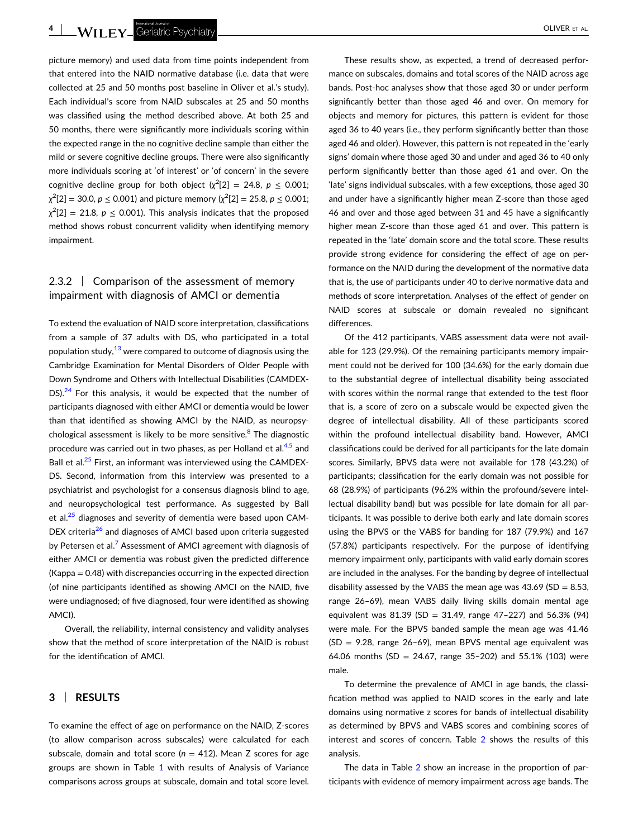**4** | **Will FY** Geriatric Psychiatry **All and Structure Control** Control of the Control Control Control Control Control Control Control Control Control Control Control Control Control Control Control Control Control Contro

picture memory) and used data from time points independent from that entered into the NAID normative database (i.e. data that were collected at 25 and 50 months post baseline in Oliver et al.'s study). Each individual's score from NAID subscales at 25 and 50 months was classified using the method described above. At both 25 and 50 months, there were significantly more individuals scoring within the expected range in the no cognitive decline sample than either the mild or severe cognitive decline groups. There were also significantly more individuals scoring at 'of interest' or 'of concern' in the severe cognitive decline group for both object  $(\chi^2[2] = 24.8, p \le 0.001;$  $\chi^2[2] = 30.0, p ≤ 0.001$ ) and picture memory ( $\chi^2[2] = 25.8, p ≤ 0.001;$  $\chi^2[2]=21.8, p \leq 0.001$ ). This analysis indicates that the proposed method shows robust concurrent validity when identifying memory impairment.

# 2.3.2 Comparison of the assessment of memory impairment with diagnosis of AMCI or dementia

To extend the evaluation of NAID score interpretation, classifications from a sample of 37 adults with DS, who participated in a total population study,  $13$  were compared to outcome of diagnosis using the Cambridge Examination for Mental Disorders of Older People with Down Syndrome and Others with Intellectual Disabilities (CAMDEX‐  $DS$ ).<sup>[24](#page-8-0)</sup> For this analysis, it would be expected that the number of participants diagnosed with either AMCI or dementia would be lower than that identified as showing AMCI by the NAID, as neuropsychological assessment is likely to be more sensitive. $8$  The diagnostic procedure was carried out in two phases, as per Holland et al.<sup>[4,5](#page-8-0)</sup> and Ball et al.<sup>[25](#page-8-0)</sup> First, an informant was interviewed using the CAMDEX-DS**.** Second, information from this interview was presented to a psychiatrist and psychologist for a consensus diagnosis blind to age, and neuropsychological test performance. As suggested by Ball et al.<sup>25</sup> diagnoses and severity of dementia were based upon CAM-DEX criteria<sup>26</sup> and diagnoses of AMCI based upon criteria suggested by Petersen et al.<sup>7</sup> Assessment of AMCI agreement with diagnosis of either AMCI or dementia was robust given the predicted difference (Kappa = 0.48) with discrepancies occurring in the expected direction (of nine participants identified as showing AMCI on the NAID, five were undiagnosed; of five diagnosed, four were identified as showing AMCI).

Overall, the reliability, internal consistency and validity analyses show that the method of score interpretation of the NAID is robust for the identification of AMCI.

# **3** <sup>|</sup> **RESULTS**

To examine the effect of age on performance on the NAID, Z‐scores (to allow comparison across subscales) were calculated for each subscale, domain and total score ( $n = 412$ ). Mean Z scores for age groups are shown in Table [1](#page-5-0) with results of Analysis of Variance comparisons across groups at subscale, domain and total score level.

These results show, as expected, a trend of decreased performance on subscales, domains and total scores of the NAID across age bands. Post‐hoc analyses show that those aged 30 or under perform significantly better than those aged 46 and over. On memory for objects and memory for pictures, this pattern is evident for those aged 36 to 40 years (i.e., they perform significantly better than those aged 46 and older). However, this pattern is not repeated in the 'early signs' domain where those aged 30 and under and aged 36 to 40 only perform significantly better than those aged 61 and over. On the 'late' signs individual subscales, with a few exceptions, those aged 30 and under have a significantly higher mean Z‐score than those aged 46 and over and those aged between 31 and 45 have a significantly higher mean Z-score than those aged 61 and over. This pattern is repeated in the 'late' domain score and the total score. These results provide strong evidence for considering the effect of age on performance on the NAID during the development of the normative data that is, the use of participants under 40 to derive normative data and methods of score interpretation. Analyses of the effect of gender on NAID scores at subscale or domain revealed no significant differences.

Of the 412 participants, VABS assessment data were not available for 123 (29.9%). Of the remaining participants memory impairment could not be derived for 100 (34.6%) for the early domain due to the substantial degree of intellectual disability being associated with scores within the normal range that extended to the test floor that is, a score of zero on a subscale would be expected given the degree of intellectual disability. All of these participants scored within the profound intellectual disability band. However, AMCI classifications could be derived for all participants for the late domain scores. Similarly, BPVS data were not available for 178 (43.2%) of participants; classification for the early domain was not possible for 68 (28.9%) of participants (96.2% within the profound/severe intellectual disability band) but was possible for late domain for all participants. It was possible to derive both early and late domain scores using the BPVS or the VABS for banding for 187 (79.9%) and 167 (57.8%) participants respectively. For the purpose of identifying memory impairment only, participants with valid early domain scores are included in the analyses. For the banding by degree of intellectual disability assessed by the VABS the mean age was  $43.69$  (SD =  $8.53$ , range 26–69), mean VABS daily living skills domain mental age equivalent was 81.39 (SD = 31.49, range 47-227) and 56.3% (94) were male. For the BPVS banded sample the mean age was 41.46  $(SD = 9.28,$  range 26-69), mean BPVS mental age equivalent was 64.06 months (SD = 24.67, range 35-202) and 55.1% (103) were male.

To determine the prevalence of AMCI in age bands, the classification method was applied to NAID scores in the early and late domains using normative z scores for bands of intellectual disability as determined by BPVS and VABS scores and combining scores of interest and scores of concern. Table [2](#page-6-0) shows the results of this analysis.

The data in Table [2](#page-6-0) show an increase in the proportion of participants with evidence of memory impairment across age bands. The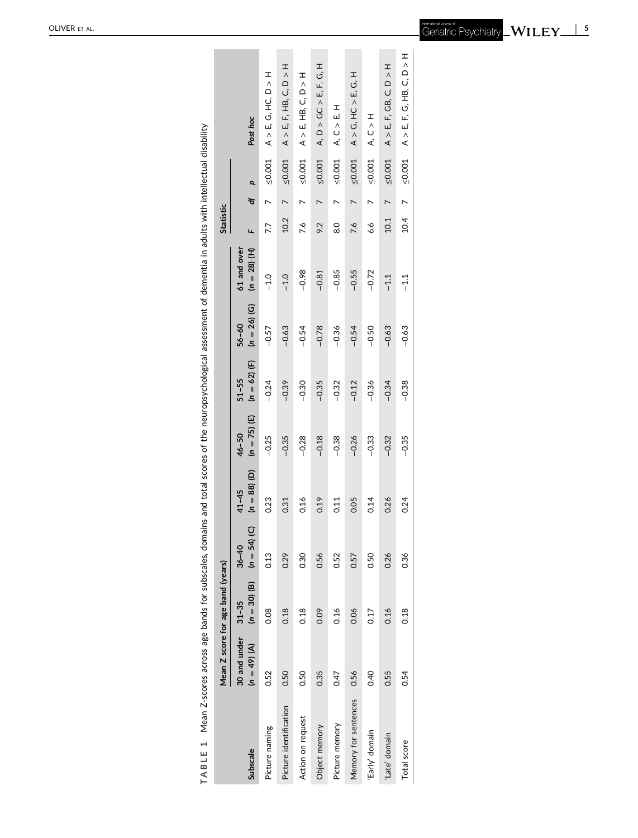| í                                                                 |  |
|-------------------------------------------------------------------|--|
| i                                                                 |  |
|                                                                   |  |
|                                                                   |  |
| $\overline{a}$                                                    |  |
|                                                                   |  |
|                                                                   |  |
| ֧֧֧֦֧֦֧֦֧֦֧֦֧֧֚֚֝֟֟֓֬֬ <u>֚֓</u>                                  |  |
|                                                                   |  |
| $\ddot{\phantom{a}}$                                              |  |
| l<br>l                                                            |  |
| į<br>l<br>¢                                                       |  |
| ì                                                                 |  |
|                                                                   |  |
| l<br>۱                                                            |  |
|                                                                   |  |
|                                                                   |  |
|                                                                   |  |
| ļ                                                                 |  |
|                                                                   |  |
| i<br>I<br>d                                                       |  |
| ׇ֚֘֝֬                                                             |  |
| Ï<br>i                                                            |  |
| ı<br>į                                                            |  |
|                                                                   |  |
| Ì<br>Ó                                                            |  |
| í<br>$\overline{\phantom{a}}$<br>ļ                                |  |
|                                                                   |  |
|                                                                   |  |
|                                                                   |  |
|                                                                   |  |
|                                                                   |  |
| į<br>١                                                            |  |
| ֚֓<br>i                                                           |  |
|                                                                   |  |
|                                                                   |  |
|                                                                   |  |
| ֚֓                                                                |  |
|                                                                   |  |
| ś                                                                 |  |
|                                                                   |  |
| i                                                                 |  |
| i                                                                 |  |
|                                                                   |  |
| j<br>j<br>ì                                                       |  |
| l<br>ׇׇ֚֕֡                                                        |  |
| ׇ֚֘֝֬<br>֚֓֡                                                      |  |
|                                                                   |  |
| י<br>Į<br>j                                                       |  |
| ֕<br>l                                                            |  |
| ׇ֚֓֡<br>j                                                         |  |
| j                                                                 |  |
| ׇ֬֕֕<br>i<br>l                                                    |  |
| j<br>֚֕֡                                                          |  |
| ĺ<br>۱                                                            |  |
| ľ<br>֖֖֖֖֖ׅ֪ׅ֖֪֪ׅ֖֪֪֪ׅ֖֧֪֪ׅ֖֚֚֚֚֚֚֚֚֚֚֚֚֚֚֚֚֚֚֚֚֚֚֚֚֡֝֝֝֝֝֝֝֝֝֝֝֝ |  |
|                                                                   |  |
|                                                                   |  |
| ł                                                                 |  |
| l<br>ı                                                            |  |
| ı                                                                 |  |
| l<br>ì<br>j                                                       |  |
| ı                                                                 |  |

<span id="page-5-0"></span>

|                        | Mean Z score for age band (years)          |                |                             |                             |                             |                             |                             |                               | <b>Statistic</b> |                |              |                                            |
|------------------------|--------------------------------------------|----------------|-----------------------------|-----------------------------|-----------------------------|-----------------------------|-----------------------------|-------------------------------|------------------|----------------|--------------|--------------------------------------------|
| Subscale               | $30$ and under $31 - 35$<br>$(n = 49) (A)$ | $(n = 30)$ (B) | $(n = 54)$ (C)<br>$36 - 40$ | $(n = 88)$ (D)<br>$41 - 45$ | $(n = 75)$ (E)<br>$46 - 50$ | $(n = 62)$ (F)<br>$51 - 55$ | $(n = 26)$ (G)<br>$56 - 60$ | 61 and over<br>$(n = 28)$ (H) |                  | Q<br>đ         |              | Post hoc                                   |
| Picture naming         | 0.52                                       | 0.08           | 0.13                        | 0.23                        | $-0.25$                     | $-0.24$                     | $-0.57$                     | $-1.0$                        | 7.7              | L              | 50.001       | $A > E$ , $G$ , $HC$ , $D > H$             |
| Picture identification | 0.50                                       | 0.18           | 0.29                        | 0.31                        | $-0.35$                     | $-0.39$                     | $-0.63$                     | $-1.0$                        | 10.2             | $\overline{a}$ | $\leq 0.001$ | $A > E$ , F, HB, C, D $>$ H                |
| Action on request      | 0.50                                       | 0.18           | 0.30                        | 0.16                        | $-0.28$                     | $-0.30$                     | $-0.54$                     | $-0.98$                       | 7.6              | $\overline{ }$ | ≤0.001       | $A > E$ , HB, C, D $>$ H                   |
| Object memory          | 0.35                                       | 0.09           | 0.56                        | 0.19                        | $-0.18$                     | $-0.35$                     | $-0.78$                     | $-0.81$                       | 9.2              | $\overline{ }$ | $\leq 0.001$ | A, D > GC > E, F, G, H                     |
| Picture memory         | 0.47                                       | 0.16           | 0.52                        | 0.11                        | $-0.38$                     | $-0.32$                     | $-0.36$                     | $-0.85$                       | Q.O              | N              | 50.001       | A, C > E                                   |
| Memory for sentences   | 0.56                                       | 0.06           | 0.57                        | 0.05                        | $-0.26$                     | $-0.12$                     | $-0.54$                     | $-0.55$                       | 9.2              |                | 50.001       | $A > G$ , HC $> E$ , G, H                  |
| 'Early' domain         | 0.40                                       | 0.17           | 0.50                        | 0.14                        | $-0.33$                     | $-0.36$                     | $-0.50$                     | $-0.72$                       | 6.6              | ↖              | ≤0.001       | A, C >                                     |
| Late' domain           | 0.55                                       | 0.16           | 0.26                        | 0.26                        | $-0.32$                     | $-0.34$                     | $-0.63$                     | $-1.1$                        | 10.1             | $\overline{ }$ | ≤0.001       | $A > E$ , $F$ , GB, $C$ , $D > H$          |
| Total score            | 0.54                                       | 0.18           | 0.36                        | 0.24                        | $-0.35$                     | $-0.38$                     | $-0.63$                     | $-1.1$                        | 10.4             | $\overline{ }$ | 50001        | $A > E$ , $F$ , $G$ , $H$ B, $C$ , $D > H$ |
|                        |                                            |                |                             |                             |                             |                             |                             |                               |                  |                |              |                                            |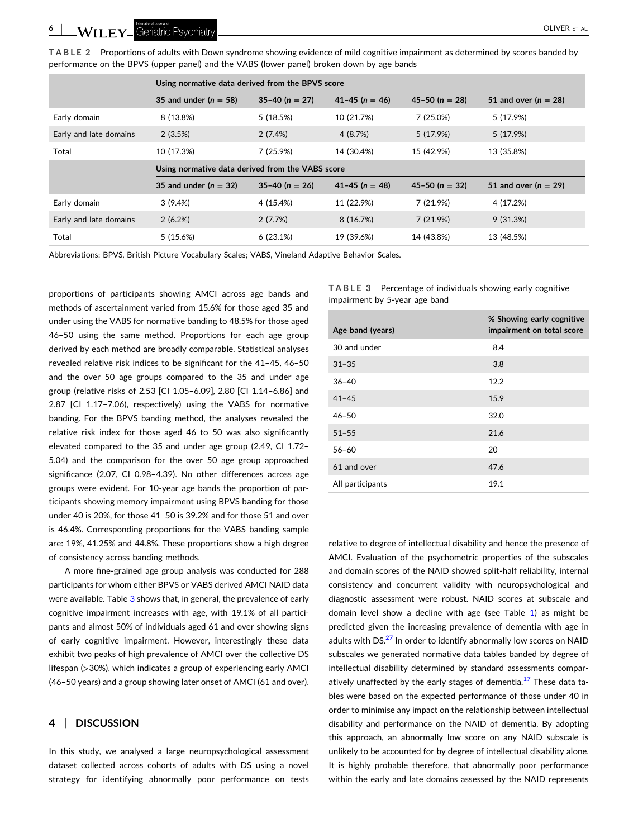<span id="page-6-0"></span>**TABLE 2** Proportions of adults with Down syndrome showing evidence of mild cognitive impairment as determined by scores banded by performance on the BPVS (upper panel) and the VABS (lower panel) broken down by age bands

|                        | Using normative data derived from the BPVS score |                  |                    |                    |                        |  |
|------------------------|--------------------------------------------------|------------------|--------------------|--------------------|------------------------|--|
|                        | 35 and under $(n = 58)$                          | $35-40 (n = 27)$ | $41 - 45$ (n = 46) | $45 - 50$ (n = 28) | 51 and over $(n = 28)$ |  |
| Early domain           | 8 (13.8%)                                        | 5 (18.5%)        | 10 (21.7%)         | 7(25.0%)           | 5(17.9%)               |  |
| Early and late domains | 2(3.5%)                                          | 2(7.4%)          | 4 (8.7%)           | 5 (17.9%)          | 5(17.9%)               |  |
| Total                  | 10 (17.3%)                                       | $7(25.9\%)$      | 14 (30.4%)         | 15 (42.9%)         | 13 (35.8%)             |  |
|                        |                                                  |                  |                    |                    |                        |  |
|                        | Using normative data derived from the VABS score |                  |                    |                    |                        |  |
|                        | 35 and under $(n = 32)$                          | $35-40 (n = 26)$ | $41 - 45$ (n = 48) | $45 - 50$ (n = 32) | 51 and over $(n = 29)$ |  |
| Early domain           | 3(9.4%)                                          | 4 (15.4%)        | 11 (22.9%)         | 7 (21.9%)          | 4 (17.2%)              |  |
| Early and late domains | 2(6.2%)                                          | 2(7.7%)          | 8 (16.7%)          | 7(21.9%)           | 9(31.3%)               |  |

Abbreviations: BPVS, British Picture Vocabulary Scales; VABS, Vineland Adaptive Behavior Scales.

proportions of participants showing AMCI across age bands and methods of ascertainment varied from 15.6% for those aged 35 and under using the VABS for normative banding to 48.5% for those aged 46–50 using the same method. Proportions for each age group derived by each method are broadly comparable. Statistical analyses revealed relative risk indices to be significant for the 41–45, 46–50 and the over 50 age groups compared to the 35 and under age group (relative risks of 2.53 [CI 1.05–6.09], 2.80 [CI 1.14–6.86] and 2.87 [CI 1.17–7.06), respectively) using the VABS for normative banding. For the BPVS banding method, the analyses revealed the relative risk index for those aged 46 to 50 was also significantly elevated compared to the 35 and under age group (2.49, CI 1.72– 5.04) and the comparison for the over 50 age group approached significance (2.07, CI 0.98–4.39). No other differences across age groups were evident. For 10‐year age bands the proportion of participants showing memory impairment using BPVS banding for those under 40 is 20%, for those 41–50 is 39.2% and for those 51 and over is 46.4%. Corresponding proportions for the VABS banding sample are: 19%, 41.25% and 44.8%. These proportions show a high degree of consistency across banding methods.

A more fine‐grained age group analysis was conducted for 288 participants for whom either BPVS or VABS derived AMCI NAID data were available. Table 3 shows that, in general, the prevalence of early cognitive impairment increases with age, with 19.1% of all participants and almost 50% of individuals aged 61 and over showing signs of early cognitive impairment. However, interestingly these data exhibit two peaks of high prevalence of AMCI over the collective DS lifespan (>30%), which indicates a group of experiencing early AMCI (46–50 years) and a group showing later onset of AMCI (61 and over).

### **4** <sup>|</sup> **DISCUSSION**

In this study, we analysed a large neuropsychological assessment dataset collected across cohorts of adults with DS using a novel strategy for identifying abnormally poor performance on tests

|                               | <b>TABLE 3</b> Percentage of individuals showing early cognitive |  |  |
|-------------------------------|------------------------------------------------------------------|--|--|
| impairment by 5-year age band |                                                                  |  |  |

| Age band (years) | % Showing early cognitive<br>impairment on total score |
|------------------|--------------------------------------------------------|
| 30 and under     | 8.4                                                    |
| $31 - 35$        | 3.8                                                    |
| $36 - 40$        | 12.2                                                   |
| $41 - 45$        | 15.9                                                   |
| $46 - 50$        | 32.0                                                   |
| $51 - 55$        | 21.6                                                   |
| $56 - 60$        | 20                                                     |
| 61 and over      | 47.6                                                   |
| All participants | 19.1                                                   |

relative to degree of intellectual disability and hence the presence of AMCI. Evaluation of the psychometric properties of the subscales and domain scores of the NAID showed split‐half reliability, internal consistency and concurrent validity with neuropsychological and diagnostic assessment were robust. NAID scores at subscale and domain level show a decline with age (see Table [1](#page-5-0)) as might be predicted given the increasing prevalence of dementia with age in adults with DS.<sup>[27](#page-8-0)</sup> In order to identify abnormally low scores on NAID subscales we generated normative data tables banded by degree of intellectual disability determined by standard assessments comparatively unaffected by the early stages of dementia. $^{17}$  $^{17}$  $^{17}$  These data tables were based on the expected performance of those under 40 in order to minimise any impact on the relationship between intellectual disability and performance on the NAID of dementia. By adopting this approach, an abnormally low score on any NAID subscale is unlikely to be accounted for by degree of intellectual disability alone. It is highly probable therefore, that abnormally poor performance within the early and late domains assessed by the NAID represents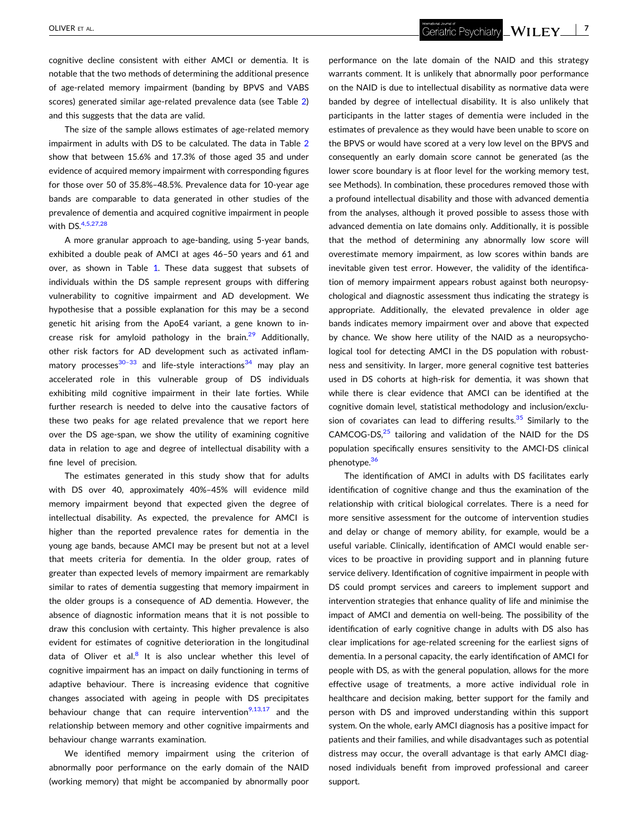cognitive decline consistent with either AMCI or dementia. It is notable that the two methods of determining the additional presence of age‐related memory impairment (banding by BPVS and VABS scores) generated similar age-related prevalence data (see Table [2](#page-6-0)) and this suggests that the data are valid.

The size of the sample allows estimates of age-related memory impairment in adults with DS to be calculated. The data in Table [2](#page-6-0) show that between 15.6% and 17.3% of those aged 35 and under evidence of acquired memory impairment with corresponding figures for those over 50 of 35.8%–48.5%. Prevalence data for 10‐year age bands are comparable to data generated in other studies of the prevalence of dementia and acquired cognitive impairment in people with DS.<sup>[4,5,27,28](#page-8-0)</sup>

A more granular approach to age‐banding, using 5‐year bands, exhibited a double peak of AMCI at ages 46–50 years and 61 and over, as shown in Table [1.](#page-5-0) These data suggest that subsets of individuals within the DS sample represent groups with differing vulnerability to cognitive impairment and AD development. We hypothesise that a possible explanation for this may be a second genetic hit arising from the ApoE4 variant, a gene known to increase risk for amyloid pathology in the brain. $29$  Additionally, other risk factors for AD development such as activated inflammatory processes<sup>30-33</sup> and life-style interactions<sup>34</sup> may play an accelerated role in this vulnerable group of DS individuals exhibiting mild cognitive impairment in their late forties. While further research is needed to delve into the causative factors of these two peaks for age related prevalence that we report here over the DS age-span, we show the utility of examining cognitive data in relation to age and degree of intellectual disability with a fine level of precision.

The estimates generated in this study show that for adults with DS over 40, approximately 40%–45% will evidence mild memory impairment beyond that expected given the degree of intellectual disability. As expected, the prevalence for AMCI is higher than the reported prevalence rates for dementia in the young age bands, because AMCI may be present but not at a level that meets criteria for dementia. In the older group, rates of greater than expected levels of memory impairment are remarkably similar to rates of dementia suggesting that memory impairment in the older groups is a consequence of AD dementia. However, the absence of diagnostic information means that it is not possible to draw this conclusion with certainty. This higher prevalence is also evident for estimates of cognitive deterioration in the longitudinal data of Oliver et al. $<sup>8</sup>$  It is also unclear whether this level of</sup> cognitive impairment has an impact on daily functioning in terms of adaptive behaviour. There is increasing evidence that cognitive changes associated with ageing in people with DS precipitates behaviour change that can require intervention $9,13,17$  and the relationship between memory and other cognitive impairments and behaviour change warrants examination.

We identified memory impairment using the criterion of abnormally poor performance on the early domain of the NAID (working memory) that might be accompanied by abnormally poor

performance on the late domain of the NAID and this strategy warrants comment. It is unlikely that abnormally poor performance on the NAID is due to intellectual disability as normative data were banded by degree of intellectual disability. It is also unlikely that participants in the latter stages of dementia were included in the estimates of prevalence as they would have been unable to score on the BPVS or would have scored at a very low level on the BPVS and consequently an early domain score cannot be generated (as the lower score boundary is at floor level for the working memory test, see Methods). In combination, these procedures removed those with a profound intellectual disability and those with advanced dementia from the analyses, although it proved possible to assess those with advanced dementia on late domains only. Additionally, it is possible that the method of determining any abnormally low score will overestimate memory impairment, as low scores within bands are inevitable given test error. However, the validity of the identification of memory impairment appears robust against both neuropsychological and diagnostic assessment thus indicating the strategy is appropriate. Additionally, the elevated prevalence in older age bands indicates memory impairment over and above that expected by chance. We show here utility of the NAID as a neuropsychological tool for detecting AMCI in the DS population with robustness and sensitivity. In larger, more general cognitive test batteries used in DS cohorts at high‐risk for dementia, it was shown that while there is clear evidence that AMCI can be identified at the cognitive domain level, statistical methodology and inclusion/exclusion of covariates can lead to differing results. $35$  Similarly to the CAMCOG-DS, $25$  tailoring and validation of the NAID for the DS population specifically ensures sensitivity to the AMCI‐DS clinical phenotype.<sup>36</sup>

The identification of AMCI in adults with DS facilitates early identification of cognitive change and thus the examination of the relationship with critical biological correlates. There is a need for more sensitive assessment for the outcome of intervention studies and delay or change of memory ability, for example, would be a useful variable. Clinically, identification of AMCI would enable services to be proactive in providing support and in planning future service delivery. Identification of cognitive impairment in people with DS could prompt services and careers to implement support and intervention strategies that enhance quality of life and minimise the impact of AMCI and dementia on well-being. The possibility of the identification of early cognitive change in adults with DS also has clear implications for age‐related screening for the earliest signs of dementia. In a personal capacity, the early identification of AMCI for people with DS, as with the general population, allows for the more effective usage of treatments, a more active individual role in healthcare and decision making, better support for the family and person with DS and improved understanding within this support system. On the whole, early AMCI diagnosis has a positive impact for patients and their families, and while disadvantages such as potential distress may occur, the overall advantage is that early AMCI diagnosed individuals benefit from improved professional and career support.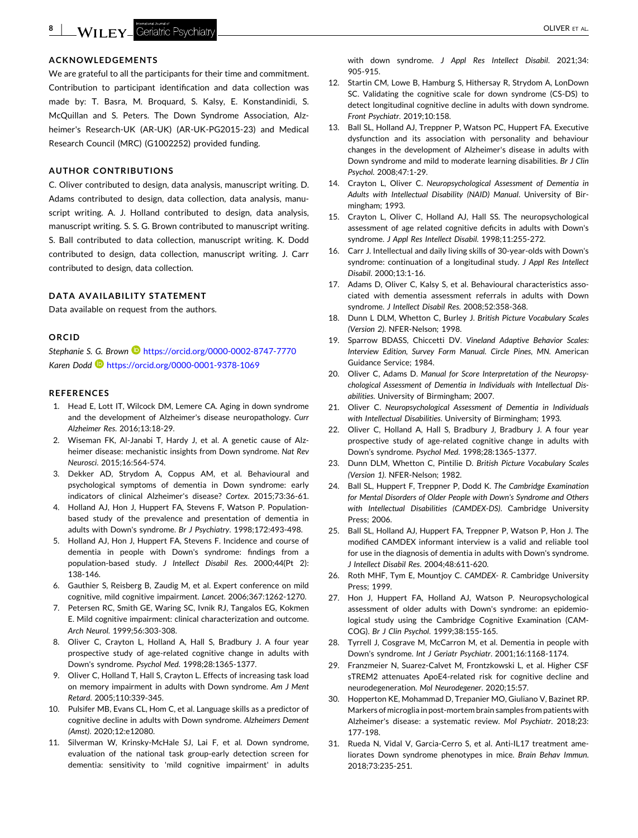#### <span id="page-8-0"></span>**ACKNOWLEDGEMENTS**

We are grateful to all the participants for their time and commitment. Contribution to participant identification and data collection was made by: T. Basra, M. Broquard, S. Kalsy, E. Konstandinidi, S. McQuillan and S. Peters. The Down Syndrome Association, Alzheimer's Research‐UK (AR‐UK) (AR‐UK‐PG2015‐23) and Medical Research Council (MRC) (G1002252) provided funding.

#### **AUTHOR CONTRIBUTIONS**

C. Oliver contributed to design, data analysis, manuscript writing. D. Adams contributed to design, data collection, data analysis, manuscript writing. A. J. Holland contributed to design, data analysis, manuscript writing. S. S. G. Brown contributed to manuscript writing. S. Ball contributed to data collection, manuscript writing. K. Dodd contributed to design, data collection, manuscript writing. J. Carr contributed to design, data collection.

#### **DATA AVAILABILITY STATEMENT**

Data available on request from the authors.

#### **ORCID**

*Stephanie S. G. Brown* <https://orcid.org/0000-0002-8747-7770> *Karen Dodd* <https://orcid.org/0000-0001-9378-1069>

#### **REFERENCES**

- 1. Head E, Lott IT, Wilcock DM, Lemere CA. Aging in down syndrome and the development of Alzheimer's disease neuropathology. *Curr Alzheimer Res*. 2016;13:18‐29.
- 2. Wiseman FK, Al‐Janabi T, Hardy J, et al. A genetic cause of Alzheimer disease: mechanistic insights from Down syndrome. *Nat Rev Neurosci*. 2015;16:564‐574.
- 3. Dekker AD, Strydom A, Coppus AM, et al. Behavioural and psychological symptoms of dementia in Down syndrome: early indicators of clinical Alzheimer's disease? *Cortex*. 2015;73:36‐61.
- 4. Holland AJ, Hon J, Huppert FA, Stevens F, Watson P. Population‐ based study of the prevalence and presentation of dementia in adults with Down's syndrome. *Br J Psychiatry*. 1998;172:493‐498.
- 5. Holland AJ, Hon J, Huppert FA, Stevens F. Incidence and course of dementia in people with Down's syndrome: findings from a population‐based study. *J Intellect Disabil Res*. 2000;44(Pt 2): 138‐146.
- 6. Gauthier S, Reisberg B, Zaudig M, et al. Expert conference on mild cognitive, mild cognitive impairment. *Lancet*. 2006;367:1262‐1270.
- 7. Petersen RC, Smith GE, Waring SC, Ivnik RJ, Tangalos EG, Kokmen E. Mild cognitive impairment: clinical characterization and outcome. *Arch Neurol*. 1999;56:303‐308.
- 8. Oliver C, Crayton L, Holland A, Hall S, Bradbury J. A four year prospective study of age-related cognitive change in adults with Down's syndrome. *Psychol Med*. 1998;28:1365‐1377.
- 9. Oliver C, Holland T, Hall S, Crayton L. Effects of increasing task load on memory impairment in adults with Down syndrome. *Am J Ment Retard*. 2005;110:339‐345.
- Pulsifer MB, Evans CL, Hom C, et al. Language skills as a predictor of cognitive decline in adults with Down syndrome. *Alzheimers Dement (Amst)*. 2020;12:e12080.
- 11. Silverman W, Krinsky‐McHale SJ, Lai F, et al. Down syndrome, evaluation of the national task group‐early detection screen for dementia: sensitivity to 'mild cognitive impairment' in adults

with down syndrome. *J Appl Res Intellect Disabil*. 2021;34: 905‐915.

- 12. Startin CM, Lowe B, Hamburg S, Hithersay R, Strydom A, LonDown SC. Validating the cognitive scale for down syndrome (CS‐DS) to detect longitudinal cognitive decline in adults with down syndrome. *Front Psychiatr*. 2019;10:158.
- 13. Ball SL, Holland AJ, Treppner P, Watson PC, Huppert FA. Executive dysfunction and its association with personality and behaviour changes in the development of Alzheimer's disease in adults with Down syndrome and mild to moderate learning disabilities. *Br J Clin Psychol*. 2008;47:1‐29.
- 14. Crayton L, Oliver C. *Neuropsychological Assessment of Dementia in Adults with Intellectual Disability (NAID) Manual*. University of Birmingham; 1993.
- 15. Crayton L, Oliver C, Holland AJ, Hall SS. The neuropsychological assessment of age related cognitive deficits in adults with Down's syndrome. *J Appl Res Intellect Disabil*. 1998;11:255‐272.
- 16. Carr J. Intellectual and daily living skills of 30-year-olds with Down's syndrome: continuation of a longitudinal study. *J Appl Res Intellect Disabil*. 2000;13:1‐16.
- 17. Adams D, Oliver C, Kalsy S, et al. Behavioural characteristics associated with dementia assessment referrals in adults with Down syndrome. *J Intellect Disabil Res*. 2008;52:358‐368.
- 18. Dunn L DLM, Whetton C, Burley J. *British Picture Vocabulary Scales (Version 2)*. NFER‐Nelson; 1998.
- 19. Sparrow BDASS, Chiccetti DV. *Vineland Adaptive Behavior Scales: Interview Edition, Survey Form Manual. Circle Pines, MN*. American Guidance Service; 1984.
- 20. Oliver C, Adams D. *Manual for Score Interpretation of the Neuropsychological Assessment of Dementia in Individuals with Intellectual Disabilities*. University of Birmingham; 2007.
- 21. Oliver C. *Neuropsychological Assessment of Dementia in Individuals with Intellectual Disabilities*. University of Birmingham; 1993.
- 22. Oliver C, Holland A, Hall S, Bradbury J, Bradbury J. A four year prospective study of age-related cognitive change in adults with Down's syndrome. *Psychol Med*. 1998;28:1365‐1377.
- 23. Dunn DLM, Whetton C, Pintilie D. *British Picture Vocabulary Scales (Version 1)*. NFER‐Nelson; 1982.
- 24. Ball SL, Huppert F, Treppner P, Dodd K. *The Cambridge Examination for Mental Disorders of Older People with Down's Syndrome and Others with Intellectual Disabilities (CAMDEX‐DS)*. Cambridge University Press; 2006.
- 25. Ball SL, Holland AJ, Huppert FA, Treppner P, Watson P, Hon J. The modified CAMDEX informant interview is a valid and reliable tool for use in the diagnosis of dementia in adults with Down's syndrome. *J Intellect Disabil Res*. 2004;48:611‐620.
- 26. Roth MHF, Tym E, Mountjoy C. *CAMDEX‐ R*. Cambridge University Press; 1999.
- 27. Hon J, Huppert FA, Holland AJ, Watson P. Neuropsychological assessment of older adults with Down's syndrome: an epidemiological study using the Cambridge Cognitive Examination (CAM-COG). *Br J Clin Psychol*. 1999;38:155‐165.
- 28. Tyrrell J, Cosgrave M, McCarron M, et al. Dementia in people with Down's syndrome. *Int J Geriatr Psychiatr*. 2001;16:1168‐1174.
- 29. Franzmeier N, Suarez‐Calvet M, Frontzkowski L, et al. Higher CSF sTREM2 attenuates ApoE4‐related risk for cognitive decline and neurodegeneration. *Mol Neurodegener*. 2020;15:57.
- 30. Hopperton KE, Mohammad D, Trepanier MO, Giuliano V, Bazinet RP. Markers of microglia in post‐mortem brain samples from patients with Alzheimer's disease: a systematic review. *Mol Psychiatr*. 2018;23: 177‐198.
- 31. Rueda N, Vidal V, Garcia‐Cerro S, et al. Anti‐IL17 treatment ameliorates Down syndrome phenotypes in mice. *Brain Behav Immun*. 2018;73:235‐251.